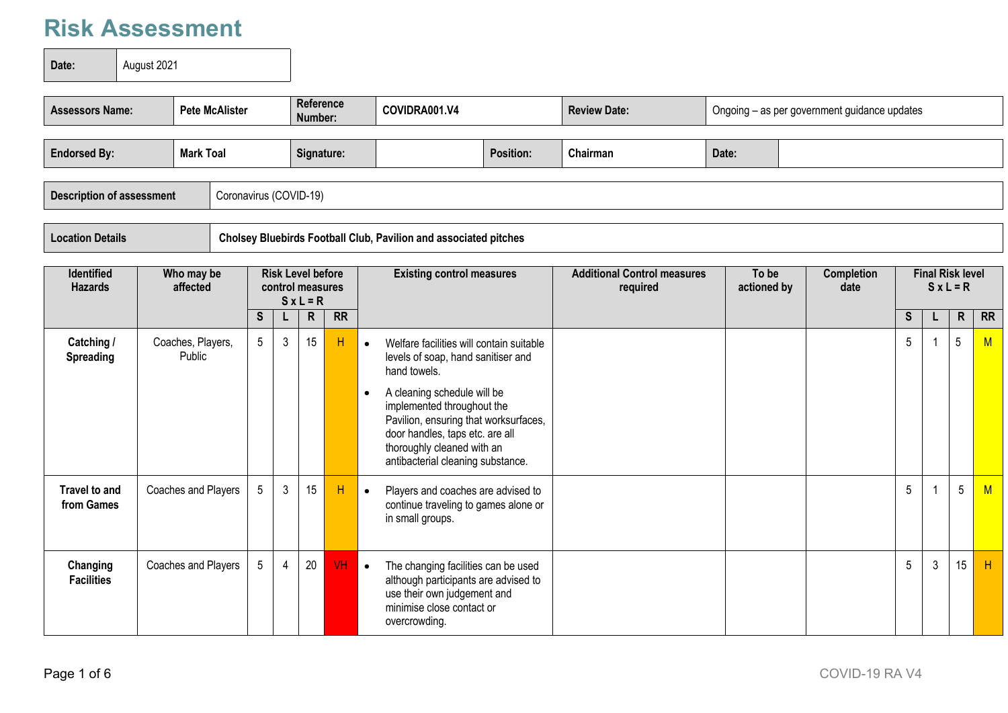**Date: August 2021** 

| <b>Endorsed By:</b><br>Chairman<br>Date:<br><b>Mark Toal</b><br>Signature:<br><b>Position:</b><br>Description of assessment<br>Coronavirus (COVID-19) | <b>Assessors Name:</b> | <b>Pete McAlister</b> |  | Reference<br>Number: | COVIDRA001.V4 |  | <b>Review Date:</b> |  | Ongoing - as per government guidance updates |
|-------------------------------------------------------------------------------------------------------------------------------------------------------|------------------------|-----------------------|--|----------------------|---------------|--|---------------------|--|----------------------------------------------|
|                                                                                                                                                       |                        |                       |  |                      |               |  |                     |  |                                              |
|                                                                                                                                                       |                        |                       |  |                      |               |  |                     |  |                                              |
| Cholsey Bluebirds Football Club, Pavilion and associated pitches<br><b>Location Details</b>                                                           |                        |                       |  |                      |               |  |                     |  |                                              |

| <b>Identified</b><br><b>Hazards</b> | Who may be<br>affected      |    |   | <b>Risk Level before</b><br>control measures<br>$S x L = R$ |           | <b>Existing control measures</b>                                                                                                                                                                                                                                                                                        | <b>Additional Control measures</b><br>required | To be<br>actioned by | <b>Completion</b><br>date | <b>Final Risk level</b><br>$S \times L = R$ |              |              |           |
|-------------------------------------|-----------------------------|----|---|-------------------------------------------------------------|-----------|-------------------------------------------------------------------------------------------------------------------------------------------------------------------------------------------------------------------------------------------------------------------------------------------------------------------------|------------------------------------------------|----------------------|---------------------------|---------------------------------------------|--------------|--------------|-----------|
|                                     |                             | S. |   | R.                                                          | <b>RR</b> |                                                                                                                                                                                                                                                                                                                         |                                                |                      |                           | S.                                          | L            | $\mathsf{R}$ | <b>RR</b> |
| Catching /<br>Spreading             | Coaches, Players,<br>Public | 5  | 3 | 15                                                          | Н         | Welfare facilities will contain suitable<br>$\bullet$<br>levels of soap, hand sanitiser and<br>hand towels.<br>A cleaning schedule will be<br>implemented throughout the<br>Pavilion, ensuring that worksurfaces,<br>door handles, taps etc. are all<br>thoroughly cleaned with an<br>antibacterial cleaning substance. |                                                |                      |                           | 5                                           |              | 5            | M         |
| Travel to and<br>from Games         | Coaches and Players         | 5  | 3 | 15                                                          | H         | Players and coaches are advised to<br>$\bullet$<br>continue traveling to games alone or<br>in small groups.                                                                                                                                                                                                             |                                                |                      |                           | 5                                           |              | 5            | M         |
| Changing<br><b>Facilities</b>       | Coaches and Players         | 5  | 4 | 20                                                          | <b>VH</b> | The changing facilities can be used<br>$\bullet$<br>although participants are advised to<br>use their own judgement and<br>minimise close contact or<br>overcrowding.                                                                                                                                                   |                                                |                      |                           | 5                                           | $\mathbf{3}$ | 15           | H         |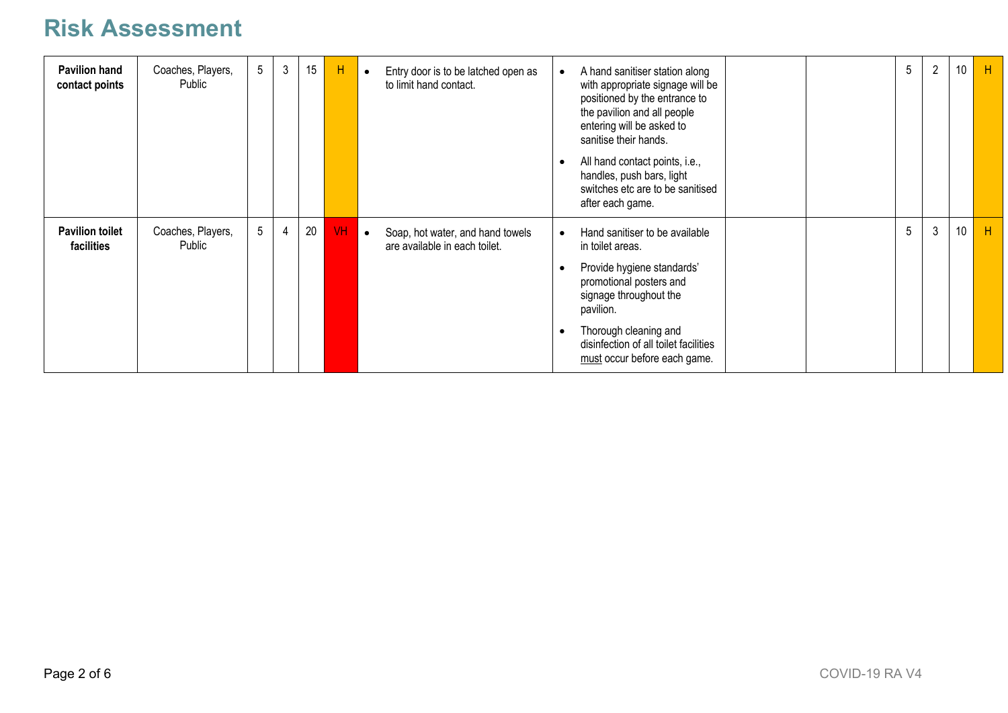| <b>Pavilion hand</b><br>contact points | Coaches, Players,<br>Public | 5 <sup>5</sup> | $\mathfrak{3}$ | 15 | H         | Entry door is to be latched open as<br>$\bullet$<br>to limit hand contact.     | $\overline{2}$<br>5<br>A hand sanitiser station along<br>$\bullet$<br>with appropriate signage will be<br>positioned by the entrance to<br>the pavilion and all people<br>entering will be asked to<br>sanitise their hands.<br>All hand contact points, i.e.,<br>$\bullet$<br>handles, push bars, light<br>switches etc are to be sanitised<br>after each game. | 10 | Н |
|----------------------------------------|-----------------------------|----------------|----------------|----|-----------|--------------------------------------------------------------------------------|------------------------------------------------------------------------------------------------------------------------------------------------------------------------------------------------------------------------------------------------------------------------------------------------------------------------------------------------------------------|----|---|
| <b>Pavilion toilet</b><br>facilities   | Coaches, Players,<br>Public | 5 <sup>5</sup> | 4              | 20 | <b>VH</b> | Soap, hot water, and hand towels<br>$\bullet$<br>are available in each toilet. | 5<br>3<br>Hand sanitiser to be available<br>$\bullet$<br>in toilet areas.<br>Provide hygiene standards'<br>$\bullet$<br>promotional posters and<br>signage throughout the<br>pavilion.<br>Thorough cleaning and<br>$\bullet$<br>disinfection of all toilet facilities<br>must occur before each game.                                                            | 10 | H |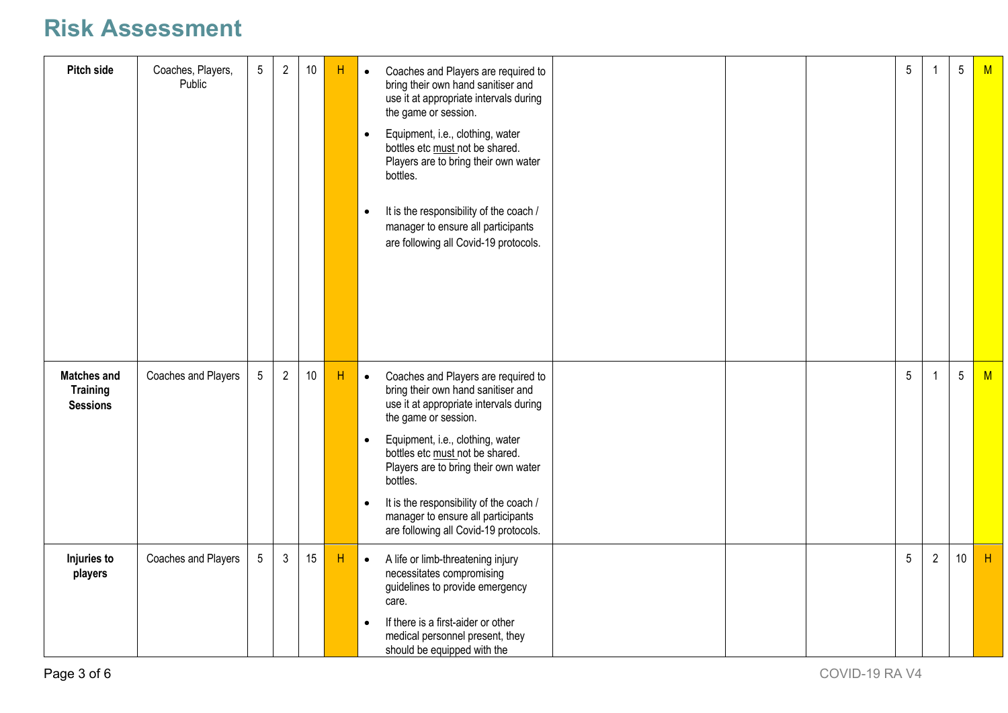| Pitch side                                               | Coaches, Players,<br>Public | $5\phantom{.0}$ | $\overline{2}$ | 10   | H  | Coaches and Players are required to<br>$\bullet$<br>bring their own hand sanitiser and<br>use it at appropriate intervals during<br>the game or session.<br>Equipment, i.e., clothing, water<br>$\bullet$<br>bottles etc must not be shared.<br>Players are to bring their own water<br>bottles.<br>It is the responsibility of the coach /<br>$\bullet$<br>manager to ensure all participants<br>are following all Covid-19 protocols. | 5 |                | $5\phantom{.0}$ | M |
|----------------------------------------------------------|-----------------------------|-----------------|----------------|------|----|-----------------------------------------------------------------------------------------------------------------------------------------------------------------------------------------------------------------------------------------------------------------------------------------------------------------------------------------------------------------------------------------------------------------------------------------|---|----------------|-----------------|---|
| <b>Matches and</b><br><b>Training</b><br><b>Sessions</b> | Coaches and Players         | 5               | $\overline{2}$ | $10$ | H  | Coaches and Players are required to<br>$\bullet$<br>bring their own hand sanitiser and<br>use it at appropriate intervals during<br>the game or session.<br>Equipment, i.e., clothing, water<br>$\bullet$<br>bottles etc must not be shared.<br>Players are to bring their own water<br>bottles.<br>It is the responsibility of the coach /<br>$\bullet$<br>manager to ensure all participants<br>are following all Covid-19 protocols. | 5 |                | $5\phantom{.0}$ | M |
| Injuries to<br>players                                   | Coaches and Players         | $5\phantom{.0}$ | $\mathbf{3}$   | 15   | Η. | A life or limb-threatening injury<br>$\bullet$<br>necessitates compromising<br>guidelines to provide emergency<br>care.<br>If there is a first-aider or other<br>$\bullet$<br>medical personnel present, they<br>should be equipped with the                                                                                                                                                                                            | 5 | $\overline{2}$ | 10 <sup>°</sup> | H |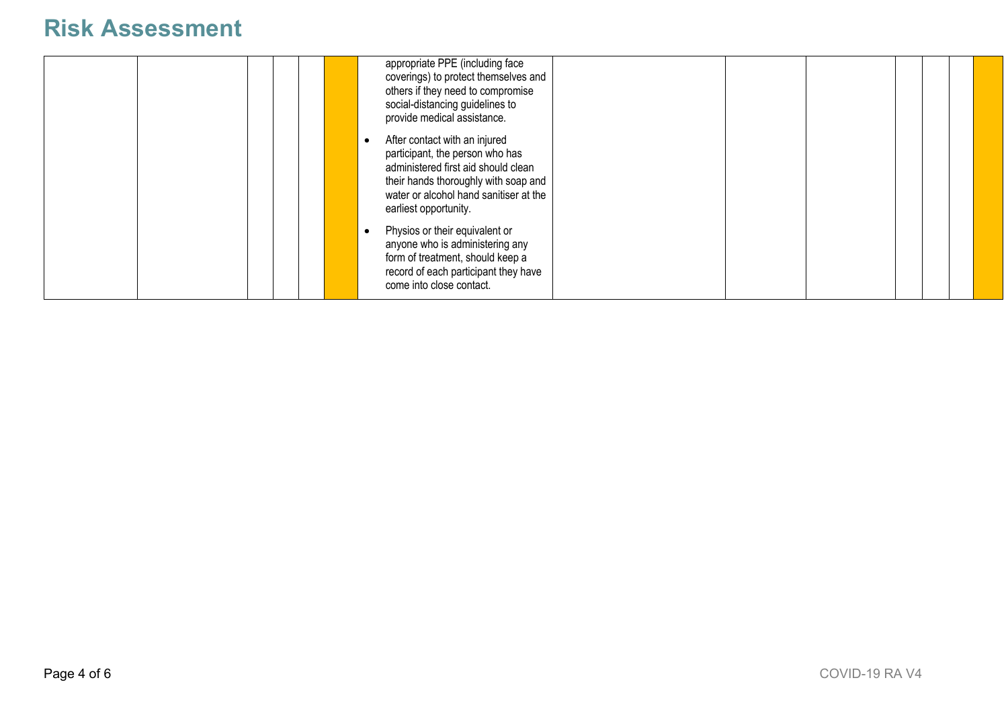|  |  | appropriate PPE (including face<br>coverings) to protect themselves and<br>others if they need to compromise<br>social-distancing guidelines to<br>provide medical assistance.                                     |  |  |
|--|--|--------------------------------------------------------------------------------------------------------------------------------------------------------------------------------------------------------------------|--|--|
|  |  | After contact with an injured<br>participant, the person who has<br>administered first aid should clean<br>their hands thoroughly with soap and<br>water or alcohol hand sanitiser at the<br>earliest opportunity. |  |  |
|  |  | Physios or their equivalent or<br>anyone who is administering any<br>form of treatment, should keep a<br>record of each participant they have<br>come into close contact.                                          |  |  |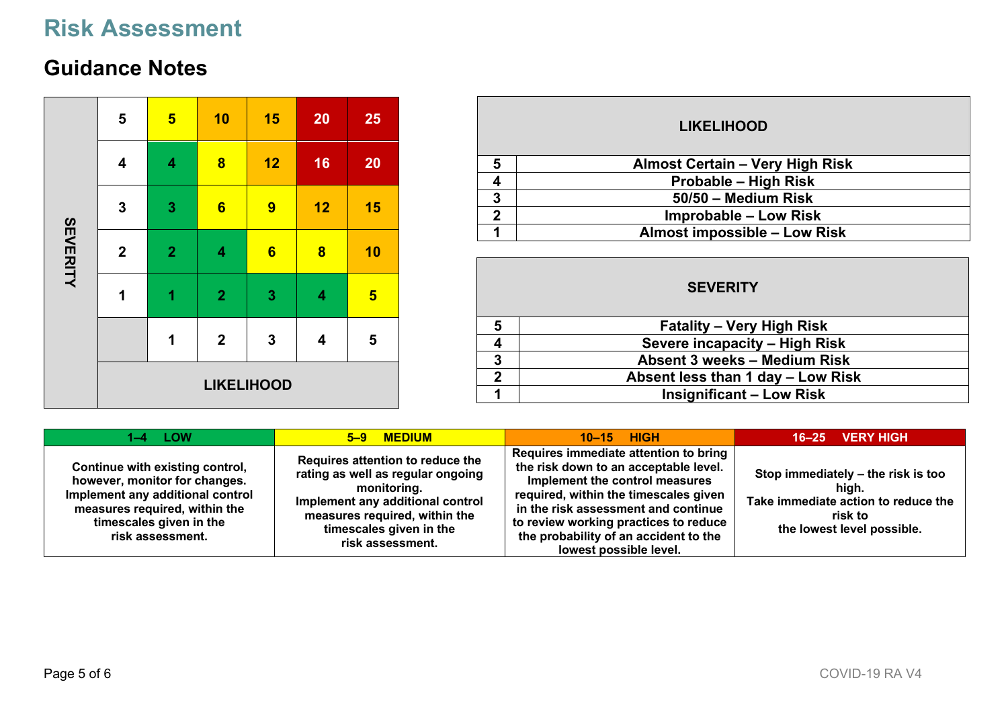#### **Guidance Notes**

|                 | 5                | $\overline{\mathbf{5}}$ | 10               | 15                | 20                      | 25              |
|-----------------|------------------|-------------------------|------------------|-------------------|-------------------------|-----------------|
| <b>SEVERITY</b> | 4                | 4                       | $\bf{8}$         | 12                | 16                      | 20              |
|                 | $\mathbf{3}$     | $\mathbf{3}$            | $6\phantom{1}$   | 9                 | 12                      | 15              |
|                 | $\boldsymbol{2}$ | $\overline{2}$          | 4                | $6\phantom{1}6$   | $\overline{\mathbf{8}}$ | 10              |
|                 | 1                | 1                       | $\mathbf{2}$     | 3                 | 4                       | $5\overline{5}$ |
|                 |                  | $\mathbf 1$             | $\boldsymbol{2}$ | $\mathbf{3}$      | 4                       | 5               |
|                 |                  |                         |                  | <b>LIKELIHOOD</b> |                         |                 |

| <b>LIKELIHOOD</b> |                                        |  |  |  |  |  |  |
|-------------------|----------------------------------------|--|--|--|--|--|--|
| 5                 | <b>Almost Certain - Very High Risk</b> |  |  |  |  |  |  |
|                   | Probable - High Risk                   |  |  |  |  |  |  |
| 3                 | 50/50 - Medium Risk                    |  |  |  |  |  |  |
| 2                 | <b>Improbable – Low Risk</b>           |  |  |  |  |  |  |
|                   | <b>Almost impossible - Low Risk</b>    |  |  |  |  |  |  |

|   | <b>SEVERITY</b>                   |
|---|-----------------------------------|
| 5 | <b>Fatality – Very High Risk</b>  |
|   | Severe incapacity - High Risk     |
| 3 | Absent 3 weeks - Medium Risk      |
| 2 | Absent less than 1 day - Low Risk |
|   | <b>Insignificant – Low Risk</b>   |

| $1-4$ LOW                                                                                                                                                                            | 5-9 MEDIUM                                                                                                                                                                                               | $10-15$ HIGH                                                                                                                                                                                                                                                                                                 | $16-25$ VERY HIGH                                                                                                           |
|--------------------------------------------------------------------------------------------------------------------------------------------------------------------------------------|----------------------------------------------------------------------------------------------------------------------------------------------------------------------------------------------------------|--------------------------------------------------------------------------------------------------------------------------------------------------------------------------------------------------------------------------------------------------------------------------------------------------------------|-----------------------------------------------------------------------------------------------------------------------------|
| Continue with existing control,<br>however, monitor for changes.<br>Implement any additional control<br>measures required, within the<br>timescales given in the<br>risk assessment. | Requires attention to reduce the<br>rating as well as regular ongoing<br>monitoring.<br>Implement any additional control<br>measures required, within the<br>timescales given in the<br>risk assessment. | Requires immediate attention to bring<br>the risk down to an acceptable level.<br>Implement the control measures<br>required, within the timescales given<br>in the risk assessment and continue<br>to review working practices to reduce<br>the probability of an accident to the<br>lowest possible level. | Stop immediately - the risk is too<br>high.<br>Take immediate action to reduce the<br>risk to<br>the lowest level possible. |